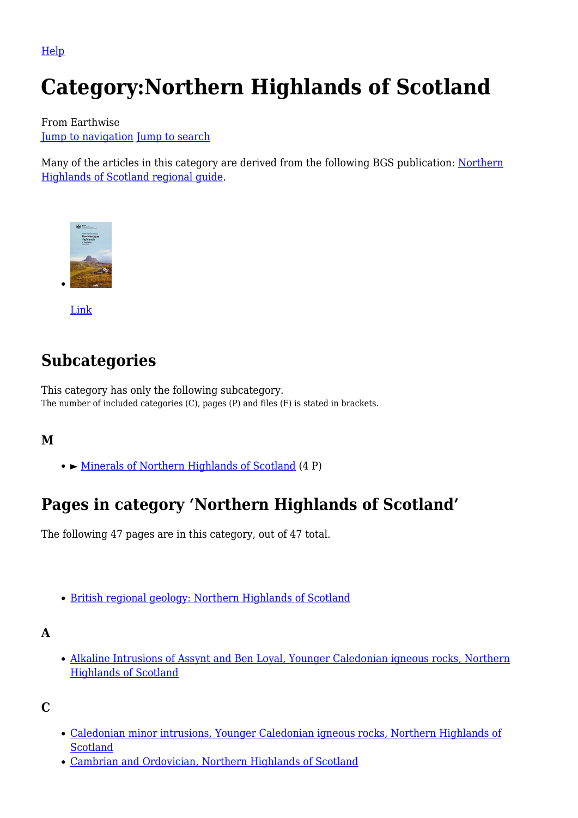[Help](http://www.mediawiki.org/wiki/Special:MyLanguage/Help:Categories)

# **Category:Northern Highlands of Scotland**

From Earthwise [Jump to navigation](#page--1-0) [Jump to search](#page--1-0)

Many of the articles in this category are derived from the following BGS publication: [Northern](http://earthwise.bgs.ac.uk/index.php/British_regional_geology:_Northern_Highlands_of_Scotland) [Highlands of Scotland regional guide.](http://earthwise.bgs.ac.uk/index.php/British_regional_geology:_Northern_Highlands_of_Scotland)



[Link](http://earthwise.bgs.ac.uk/index.php/British_regional_geology:_Northern_Highlands_of_Scotland)

# **Subcategories**

This category has only the following subcategory. The number of included categories (C), pages (P) and files (F) is stated in brackets.

#### **M**

► [Minerals of Northern Highlands of Scotland](http://earthwise.bgs.ac.uk/index.php/Category:Minerals_of_Northern_Highlands_of_Scotland) (4 P)

# **Pages in category 'Northern Highlands of Scotland'**

The following 47 pages are in this category, out of 47 total.

[British regional geology: Northern Highlands of Scotland](http://earthwise.bgs.ac.uk/index.php/British_regional_geology:_Northern_Highlands_of_Scotland)

#### **A**

[Alkaline Intrusions of Assynt and Ben Loyal, Younger Caledonian igneous rocks, Northern](http://earthwise.bgs.ac.uk/index.php/Alkaline_Intrusions_of_Assynt_and_Ben_Loyal,_Younger_Caledonian_igneous_rocks,_Northern_Highlands_of_Scotland) [Highlands of Scotland](http://earthwise.bgs.ac.uk/index.php/Alkaline_Intrusions_of_Assynt_and_Ben_Loyal,_Younger_Caledonian_igneous_rocks,_Northern_Highlands_of_Scotland)

**C**

- [Caledonian minor intrusions, Younger Caledonian igneous rocks, Northern Highlands of](http://earthwise.bgs.ac.uk/index.php/Caledonian_minor_intrusions,_Younger_Caledonian_igneous_rocks,_Northern_Highlands_of_Scotland) [Scotland](http://earthwise.bgs.ac.uk/index.php/Caledonian_minor_intrusions,_Younger_Caledonian_igneous_rocks,_Northern_Highlands_of_Scotland)
- [Cambrian and Ordovician, Northern Highlands of Scotland](http://earthwise.bgs.ac.uk/index.php/Cambrian_and_Ordovician,_Northern_Highlands_of_Scotland)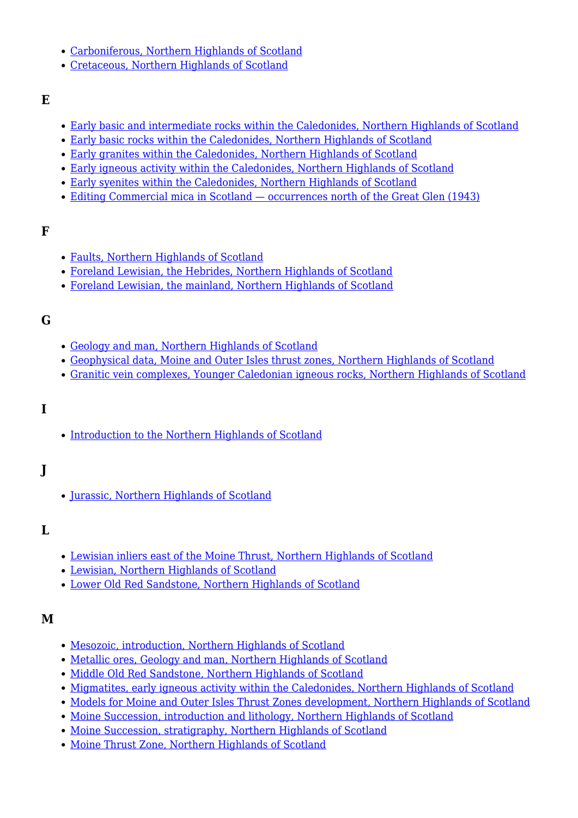- [Carboniferous, Northern Highlands of Scotland](http://earthwise.bgs.ac.uk/index.php/Carboniferous,_Northern_Highlands_of_Scotland)
- [Cretaceous, Northern Highlands of Scotland](http://earthwise.bgs.ac.uk/index.php/Cretaceous,_Northern_Highlands_of_Scotland)

#### **E**

- [Early basic and intermediate rocks within the Caledonides, Northern Highlands of Scotland](http://earthwise.bgs.ac.uk/index.php/Early_basic_and_intermediate_rocks_within_the_Caledonides,_Northern_Highlands_of_Scotland)
- [Early basic rocks within the Caledonides, Northern Highlands of Scotland](http://earthwise.bgs.ac.uk/index.php/Early_basic_rocks_within_the_Caledonides,_Northern_Highlands_of_Scotland)
- [Early granites within the Caledonides, Northern Highlands of Scotland](http://earthwise.bgs.ac.uk/index.php/Early_granites_within_the_Caledonides,_Northern_Highlands_of_Scotland)
- [Early igneous activity within the Caledonides, Northern Highlands of Scotland](http://earthwise.bgs.ac.uk/index.php/Early_igneous_activity_within_the_Caledonides,_Northern_Highlands_of_Scotland)
- [Early syenites within the Caledonides, Northern Highlands of Scotland](http://earthwise.bgs.ac.uk/index.php/Early_syenites_within_the_Caledonides,_Northern_Highlands_of_Scotland)
- [Editing Commercial mica in Scotland occurrences north of the Great Glen \(1943\)](http://earthwise.bgs.ac.uk/index.php/Editing_Commercial_mica_in_Scotland_%E2%80%94_occurrences_north_of_the_Great_Glen_(1943))

#### **F**

- [Faults, Northern Highlands of Scotland](http://earthwise.bgs.ac.uk/index.php/Faults,_Northern_Highlands_of_Scotland)
- [Foreland Lewisian, the Hebrides, Northern Highlands of Scotland](http://earthwise.bgs.ac.uk/index.php/Foreland_Lewisian,_the_Hebrides,_Northern_Highlands_of_Scotland)
- [Foreland Lewisian, the mainland, Northern Highlands of Scotland](http://earthwise.bgs.ac.uk/index.php/Foreland_Lewisian,_the_mainland,_Northern_Highlands_of_Scotland)

#### **G**

- [Geology and man, Northern Highlands of Scotland](http://earthwise.bgs.ac.uk/index.php/Geology_and_man,_Northern_Highlands_of_Scotland)
- [Geophysical data, Moine and Outer Isles thrust zones, Northern Highlands of Scotland](http://earthwise.bgs.ac.uk/index.php/Geophysical_data,_Moine_and_Outer_Isles_thrust_zones,_Northern_Highlands_of_Scotland)
- [Granitic vein complexes, Younger Caledonian igneous rocks, Northern Highlands of Scotland](http://earthwise.bgs.ac.uk/index.php/Granitic_vein_complexes,_Younger_Caledonian_igneous_rocks,_Northern_Highlands_of_Scotland)

#### **I**

• [Introduction to the Northern Highlands of Scotland](http://earthwise.bgs.ac.uk/index.php/Introduction_to_the_Northern_Highlands_of_Scotland)

### **J**

• [Jurassic, Northern Highlands of Scotland](http://earthwise.bgs.ac.uk/index.php/Jurassic,_Northern_Highlands_of_Scotland)

#### **L**

- [Lewisian inliers east of the Moine Thrust, Northern Highlands of Scotland](http://earthwise.bgs.ac.uk/index.php/Lewisian_inliers_east_of_the_Moine_Thrust,_Northern_Highlands_of_Scotland)
- [Lewisian, Northern Highlands of Scotland](http://earthwise.bgs.ac.uk/index.php/Lewisian,_Northern_Highlands_of_Scotland)
- [Lower Old Red Sandstone, Northern Highlands of Scotland](http://earthwise.bgs.ac.uk/index.php/Lower_Old_Red_Sandstone,_Northern_Highlands_of_Scotland)

#### **M**

- [Mesozoic, introduction, Northern Highlands of Scotland](http://earthwise.bgs.ac.uk/index.php/Mesozoic,_introduction,_Northern_Highlands_of_Scotland)
- [Metallic ores, Geology and man, Northern Highlands of Scotland](http://earthwise.bgs.ac.uk/index.php/Metallic_ores,_Geology_and_man,_Northern_Highlands_of_Scotland)
- [Middle Old Red Sandstone, Northern Highlands of Scotland](http://earthwise.bgs.ac.uk/index.php/Middle_Old_Red_Sandstone,_Northern_Highlands_of_Scotland)
- [Migmatites, early igneous activity within the Caledonides, Northern Highlands of Scotland](http://earthwise.bgs.ac.uk/index.php/Migmatites,_early_igneous_activity_within_the_Caledonides,_Northern_Highlands_of_Scotland)
- [Models for Moine and Outer Isles Thrust Zones development, Northern Highlands of Scotland](http://earthwise.bgs.ac.uk/index.php/Models_for_Moine_and_Outer_Isles_Thrust_Zones_development,_Northern_Highlands_of_Scotland)
- [Moine Succession, introduction and lithology, Northern Highlands of Scotland](http://earthwise.bgs.ac.uk/index.php/Moine_Succession,_introduction_and_lithology,_Northern_Highlands_of_Scotland)
- [Moine Succession, stratigraphy, Northern Highlands of Scotland](http://earthwise.bgs.ac.uk/index.php/Moine_Succession,_stratigraphy,_Northern_Highlands_of_Scotland)
- [Moine Thrust Zone, Northern Highlands of Scotland](http://earthwise.bgs.ac.uk/index.php/Moine_Thrust_Zone,_Northern_Highlands_of_Scotland)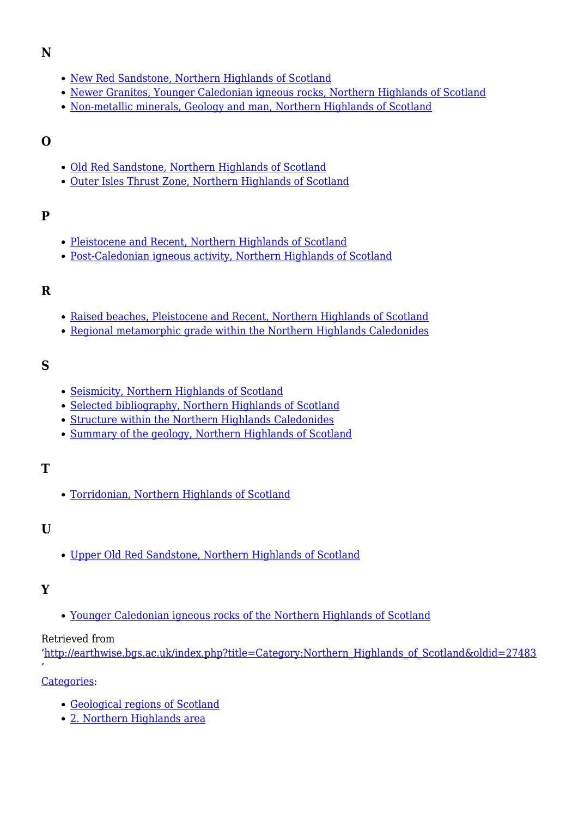#### **N**

- [New Red Sandstone, Northern Highlands of Scotland](http://earthwise.bgs.ac.uk/index.php/New_Red_Sandstone,_Northern_Highlands_of_Scotland)
- [Newer Granites, Younger Caledonian igneous rocks, Northern Highlands of Scotland](http://earthwise.bgs.ac.uk/index.php/Newer_Granites,_Younger_Caledonian_igneous_rocks,_Northern_Highlands_of_Scotland)
- [Non-metallic minerals, Geology and man, Northern Highlands of Scotland](http://earthwise.bgs.ac.uk/index.php/Non-metallic_minerals,_Geology_and_man,_Northern_Highlands_of_Scotland)

#### **O**

- [Old Red Sandstone, Northern Highlands of Scotland](http://earthwise.bgs.ac.uk/index.php/Old_Red_Sandstone,_Northern_Highlands_of_Scotland)
- [Outer Isles Thrust Zone, Northern Highlands of Scotland](http://earthwise.bgs.ac.uk/index.php/Outer_Isles_Thrust_Zone,_Northern_Highlands_of_Scotland)

#### **P**

- [Pleistocene and Recent, Northern Highlands of Scotland](http://earthwise.bgs.ac.uk/index.php/Pleistocene_and_Recent,_Northern_Highlands_of_Scotland)
- [Post-Caledonian igneous activity, Northern Highlands of Scotland](http://earthwise.bgs.ac.uk/index.php/Post-Caledonian_igneous_activity,_Northern_Highlands_of_Scotland)

#### **R**

- [Raised beaches, Pleistocene and Recent, Northern Highlands of Scotland](http://earthwise.bgs.ac.uk/index.php/Raised_beaches,_Pleistocene_and_Recent,_Northern_Highlands_of_Scotland)
- [Regional metamorphic grade within the Northern Highlands Caledonides](http://earthwise.bgs.ac.uk/index.php/Regional_metamorphic_grade_within_the_Northern_Highlands_Caledonides)

#### **S**

- [Seismicity, Northern Highlands of Scotland](http://earthwise.bgs.ac.uk/index.php/Seismicity,_Northern_Highlands_of_Scotland)
- [Selected bibliography, Northern Highlands of Scotland](http://earthwise.bgs.ac.uk/index.php/Selected_bibliography,_Northern_Highlands_of_Scotland)
- [Structure within the Northern Highlands Caledonides](http://earthwise.bgs.ac.uk/index.php/Structure_within_the_Northern_Highlands_Caledonides)
- [Summary of the geology, Northern Highlands of Scotland](http://earthwise.bgs.ac.uk/index.php/Summary_of_the_geology,_Northern_Highlands_of_Scotland)

#### **T**

[Torridonian, Northern Highlands of Scotland](http://earthwise.bgs.ac.uk/index.php/Torridonian,_Northern_Highlands_of_Scotland)

#### **U**

[Upper Old Red Sandstone, Northern Highlands of Scotland](http://earthwise.bgs.ac.uk/index.php/Upper_Old_Red_Sandstone,_Northern_Highlands_of_Scotland)

#### **Y**

'

[Younger Caledonian igneous rocks of the Northern Highlands of Scotland](http://earthwise.bgs.ac.uk/index.php/Younger_Caledonian_igneous_rocks_of_the_Northern_Highlands_of_Scotland)

#### Retrieved from

'[http://earthwise.bgs.ac.uk/index.php?title=Category:Northern\\_Highlands\\_of\\_Scotland&oldid=27483](http://earthwise.bgs.ac.uk/index.php?title=Category:Northern_Highlands_of_Scotland&oldid=27483)

[Categories:](http://earthwise.bgs.ac.uk/index.php/Special:Categories)

- [Geological regions of Scotland](http://earthwise.bgs.ac.uk/index.php/Category:Geological_regions_of_Scotland)
- [2. Northern Highlands area](http://earthwise.bgs.ac.uk/index.php/Category:2._Northern_Highlands_area)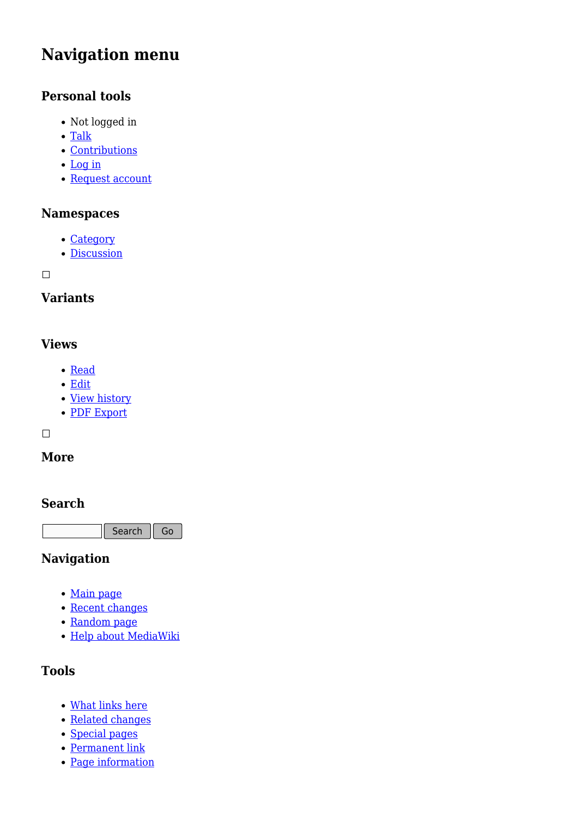# **Navigation menu**

### **Personal tools**

- Not logged in
- [Talk](http://earthwise.bgs.ac.uk/index.php/Special:MyTalk)
- [Contributions](http://earthwise.bgs.ac.uk/index.php/Special:MyContributions)
- [Log in](http://earthwise.bgs.ac.uk/index.php?title=Special:UserLogin&returnto=Category%3ANorthern+Highlands+of+Scotland&returntoquery=action%3Dmpdf)
- [Request account](http://earthwise.bgs.ac.uk/index.php/Special:RequestAccount)

#### **Namespaces**

- [Category](http://earthwise.bgs.ac.uk/index.php/Category:Northern_Highlands_of_Scotland)
- [Discussion](http://earthwise.bgs.ac.uk/index.php?title=Category_talk:Northern_Highlands_of_Scotland&action=edit&redlink=1)

 $\Box$ 

## **Variants**

#### **Views**

- [Read](http://earthwise.bgs.ac.uk/index.php/Category:Northern_Highlands_of_Scotland)
- [Edit](http://earthwise.bgs.ac.uk/index.php?title=Category:Northern_Highlands_of_Scotland&action=edit)
- [View history](http://earthwise.bgs.ac.uk/index.php?title=Category:Northern_Highlands_of_Scotland&action=history)
- [PDF Export](http://earthwise.bgs.ac.uk/index.php?title=Category:Northern_Highlands_of_Scotland&action=mpdf)

 $\Box$ 

#### **More**

#### **Search**

Search Go

#### **Navigation**

- [Main page](http://earthwise.bgs.ac.uk/index.php/Main_Page)
- [Recent changes](http://earthwise.bgs.ac.uk/index.php/Special:RecentChanges)
- [Random page](http://earthwise.bgs.ac.uk/index.php/Special:Random)
- [Help about MediaWiki](https://www.mediawiki.org/wiki/Special:MyLanguage/Help:Contents)

### **Tools**

- [What links here](http://earthwise.bgs.ac.uk/index.php/Special:WhatLinksHere/Category:Northern_Highlands_of_Scotland)
- [Related changes](http://earthwise.bgs.ac.uk/index.php/Special:RecentChangesLinked/Category:Northern_Highlands_of_Scotland)
- [Special pages](http://earthwise.bgs.ac.uk/index.php/Special:SpecialPages)
- [Permanent link](http://earthwise.bgs.ac.uk/index.php?title=Category:Northern_Highlands_of_Scotland&oldid=27483)
- [Page information](http://earthwise.bgs.ac.uk/index.php?title=Category:Northern_Highlands_of_Scotland&action=info)